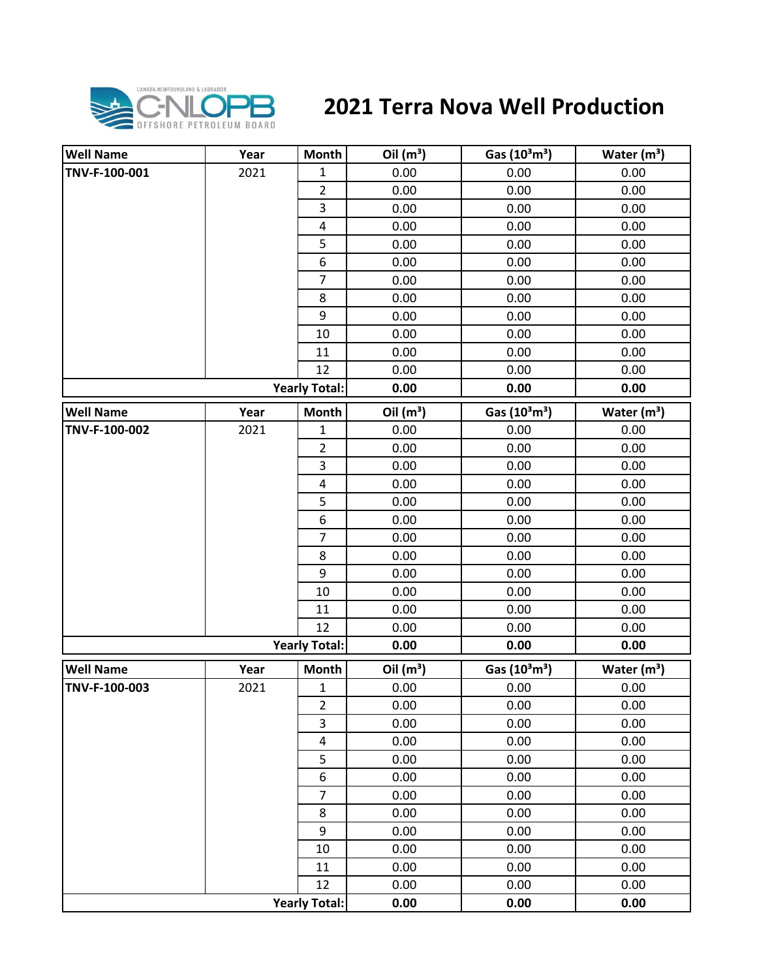

## **2021 Terra Nova Well Production**

| <b>Well Name</b> | Year | <b>Month</b>         | Oil $(m^3)$ | Gas $(10^3 \text{m}^3)$               | Water $(m^3)$ |
|------------------|------|----------------------|-------------|---------------------------------------|---------------|
| TNV-F-100-001    | 2021 | $\mathbf{1}$         | 0.00        | 0.00                                  | 0.00          |
|                  |      | $\overline{2}$       | 0.00        | 0.00                                  | 0.00          |
|                  |      | 3                    | 0.00        | 0.00                                  | 0.00          |
|                  |      | $\pmb{4}$            | 0.00        | 0.00                                  | 0.00          |
|                  |      | 5                    | 0.00        | 0.00                                  | 0.00          |
|                  |      | 6                    | 0.00        | 0.00                                  | 0.00          |
|                  |      | $\overline{7}$       | 0.00        | 0.00                                  | 0.00          |
|                  |      | 8                    | 0.00        | 0.00                                  | 0.00          |
|                  |      | 9                    | 0.00        | 0.00                                  | 0.00          |
|                  |      | 10                   | 0.00        | 0.00                                  | 0.00          |
|                  |      | 11                   | 0.00        | 0.00                                  | 0.00          |
|                  |      | 12                   | 0.00        | 0.00                                  | 0.00          |
|                  |      | <b>Yearly Total:</b> | 0.00        | 0.00                                  | 0.00          |
| <b>Well Name</b> | Year | <b>Month</b>         | Oil $(m^3)$ | Gas (10 <sup>3</sup> m <sup>3</sup> ) | Water $(m^3)$ |
| TNV-F-100-002    | 2021 | $\mathbf 1$          | 0.00        | 0.00                                  | 0.00          |
|                  |      | $\overline{2}$       | 0.00        | 0.00                                  | 0.00          |
|                  |      | 3                    | 0.00        | 0.00                                  | 0.00          |
|                  |      | 4                    | 0.00        | 0.00                                  | 0.00          |
|                  |      | 5                    | 0.00        | 0.00                                  | 0.00          |
|                  |      | 6                    | 0.00        | 0.00                                  | 0.00          |
|                  |      | $\overline{7}$       | 0.00        | 0.00                                  | 0.00          |
|                  |      | 8                    | 0.00        | 0.00                                  | 0.00          |
|                  |      | 9                    | 0.00        | 0.00                                  | 0.00          |
|                  |      | 10                   | 0.00        | 0.00                                  | 0.00          |
|                  |      | 11                   | 0.00        | 0.00                                  | 0.00          |
|                  |      | 12                   | 0.00        | 0.00                                  | 0.00          |
|                  |      | <b>Yearly Total:</b> | 0.00        | 0.00                                  | 0.00          |
| <b>Well Name</b> | Year | <b>Month</b>         | Oil $(m^3)$ | Gas $(10^3 \text{m}^3)$               | Water $(m^3)$ |
| TNV-F-100-003    | 2021 | $\mathbf 1$          | 0.00        | 0.00                                  | 0.00          |
|                  |      | $\overline{2}$       | 0.00        | 0.00                                  | 0.00          |
|                  |      | 3                    | 0.00        | 0.00                                  | 0.00          |
|                  |      | $\overline{4}$       | 0.00        | 0.00                                  | 0.00          |
|                  |      | 5                    | 0.00        | 0.00                                  | 0.00          |
|                  |      | 6                    | 0.00        | 0.00                                  | 0.00          |
|                  |      | $\overline{7}$       | 0.00        | 0.00                                  | 0.00          |
|                  |      | 8                    | 0.00        | 0.00                                  | 0.00          |
|                  |      | 9                    | 0.00        | 0.00                                  | 0.00          |
|                  |      | 10                   | 0.00        | 0.00                                  | 0.00          |
|                  |      | 11                   | 0.00        | 0.00                                  | 0.00          |
|                  |      | 12                   | 0.00        | 0.00                                  | 0.00          |
|                  |      | <b>Yearly Total:</b> | 0.00        | 0.00                                  | 0.00          |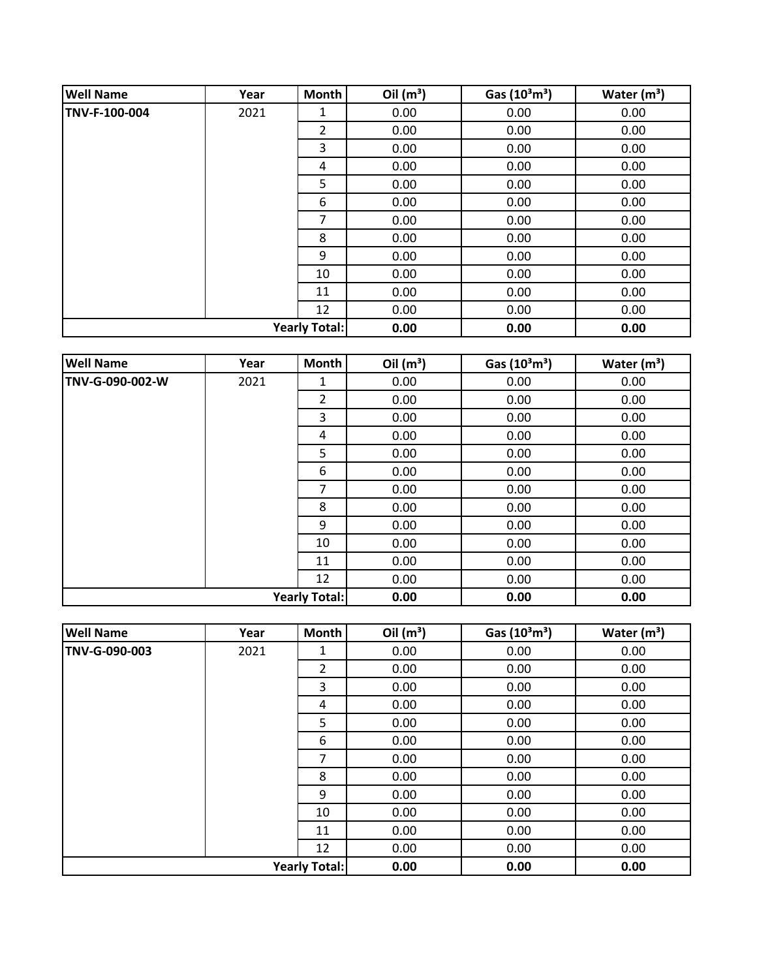| <b>Well Name</b>     | Year | Month          | Oil $(m^3)$ | Gas $(10^3 \text{m}^3)$ | Water $(m3)$ |
|----------------------|------|----------------|-------------|-------------------------|--------------|
| TNV-F-100-004        | 2021 | 1              | 0.00        | 0.00                    | 0.00         |
|                      |      | $\overline{2}$ | 0.00        | 0.00                    | 0.00         |
|                      |      | 3              | 0.00        | 0.00                    | 0.00         |
|                      |      | 4              | 0.00        | 0.00                    | 0.00         |
|                      |      | 5              | 0.00        | 0.00                    | 0.00         |
|                      |      | 6              | 0.00        | 0.00                    | 0.00         |
|                      |      | 7              | 0.00        | 0.00                    | 0.00         |
|                      |      | 8              | 0.00        | 0.00                    | 0.00         |
|                      |      | 9              | 0.00        | 0.00                    | 0.00         |
|                      |      | 10             | 0.00        | 0.00                    | 0.00         |
|                      |      | 11             | 0.00        | 0.00                    | 0.00         |
|                      |      | 12             | 0.00        | 0.00                    | 0.00         |
| <b>Yearly Total:</b> |      | 0.00           | 0.00        | 0.00                    |              |

| <b>Well Name</b>     | Year | Month          | Oil $(m^3)$ | Gas (10 <sup>3</sup> m <sup>3</sup> ) | Water $(m^3)$ |
|----------------------|------|----------------|-------------|---------------------------------------|---------------|
| TNV-G-090-002-W      | 2021 | 1              | 0.00        | 0.00                                  | 0.00          |
|                      |      | $\overline{2}$ | 0.00        | 0.00                                  | 0.00          |
|                      |      | 3              | 0.00        | 0.00                                  | 0.00          |
|                      |      | 4              | 0.00        | 0.00                                  | 0.00          |
|                      |      | 5              | 0.00        | 0.00                                  | 0.00          |
|                      |      | 6              | 0.00        | 0.00                                  | 0.00          |
|                      |      | 7              | 0.00        | 0.00                                  | 0.00          |
|                      |      | 8              | 0.00        | 0.00                                  | 0.00          |
|                      |      | 9              | 0.00        | 0.00                                  | 0.00          |
|                      |      | 10             | 0.00        | 0.00                                  | 0.00          |
|                      |      | 11             | 0.00        | 0.00                                  | 0.00          |
|                      |      | 12             | 0.00        | 0.00                                  | 0.00          |
| <b>Yearly Total:</b> |      |                | 0.00        | 0.00                                  | 0.00          |

| <b>Well Name</b>     | Year | Month          | Oil $(m^3)$ | Gas $(10^3 \text{m}^3)$ | Water $(m^3)$ |
|----------------------|------|----------------|-------------|-------------------------|---------------|
| TNV-G-090-003        | 2021 | 1              | 0.00        | 0.00                    | 0.00          |
|                      |      | $\overline{2}$ | 0.00        | 0.00                    | 0.00          |
|                      |      | 3              | 0.00        | 0.00                    | 0.00          |
|                      |      | 4              | 0.00        | 0.00                    | 0.00          |
|                      |      | 5              | 0.00        | 0.00                    | 0.00          |
|                      |      | 6              | 0.00        | 0.00                    | 0.00          |
|                      |      | 7              | 0.00        | 0.00                    | 0.00          |
|                      |      | 8              | 0.00        | 0.00                    | 0.00          |
|                      |      | 9              | 0.00        | 0.00                    | 0.00          |
|                      |      | 10             | 0.00        | 0.00                    | 0.00          |
|                      |      | 11             | 0.00        | 0.00                    | 0.00          |
|                      |      | 12             | 0.00        | 0.00                    | 0.00          |
| <b>Yearly Total:</b> |      |                | 0.00        | 0.00                    | 0.00          |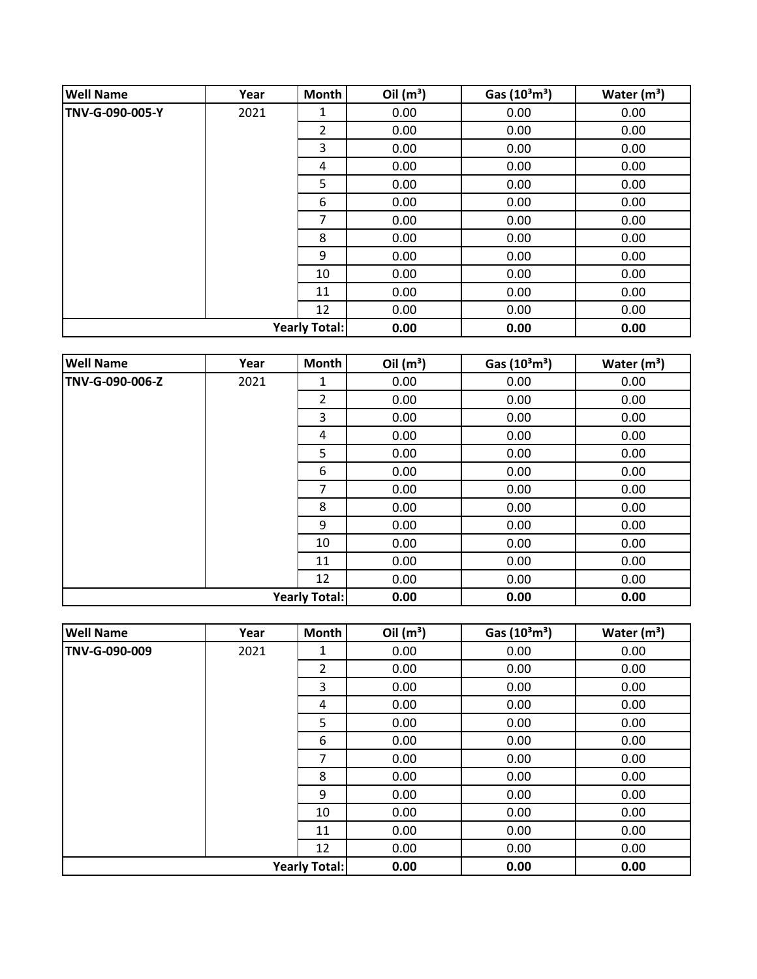| <b>Well Name</b>     | Year | Month          | Oil $(m^3)$ | Gas $(10^3 \text{m}^3)$ | Water $(m3)$ |
|----------------------|------|----------------|-------------|-------------------------|--------------|
| TNV-G-090-005-Y      | 2021 | 1              | 0.00        | 0.00                    | 0.00         |
|                      |      | $\overline{2}$ | 0.00        | 0.00                    | 0.00         |
|                      |      | 3              | 0.00        | 0.00                    | 0.00         |
|                      |      | 4              | 0.00        | 0.00                    | 0.00         |
|                      |      | 5              | 0.00        | 0.00                    | 0.00         |
|                      |      | 6              | 0.00        | 0.00                    | 0.00         |
|                      |      | 7              | 0.00        | 0.00                    | 0.00         |
|                      |      | 8              | 0.00        | 0.00                    | 0.00         |
|                      |      | 9              | 0.00        | 0.00                    | 0.00         |
|                      |      | 10             | 0.00        | 0.00                    | 0.00         |
|                      |      | 11             | 0.00        | 0.00                    | 0.00         |
|                      |      | 12             | 0.00        | 0.00                    | 0.00         |
| <b>Yearly Total:</b> |      | 0.00           | 0.00        | 0.00                    |              |

| <b>Well Name</b>     | Year | Month          | Oil $(m^3)$ | Gas (10 <sup>3</sup> m <sup>3</sup> ) | Water $(m^3)$ |
|----------------------|------|----------------|-------------|---------------------------------------|---------------|
| TNV-G-090-006-Z      | 2021 | 1              | 0.00        | 0.00                                  | 0.00          |
|                      |      | $\overline{2}$ | 0.00        | 0.00                                  | 0.00          |
|                      |      | 3              | 0.00        | 0.00                                  | 0.00          |
|                      |      | 4              | 0.00        | 0.00                                  | 0.00          |
|                      |      | 5              | 0.00        | 0.00                                  | 0.00          |
|                      |      | 6              | 0.00        | 0.00                                  | 0.00          |
|                      |      | 7              | 0.00        | 0.00                                  | 0.00          |
|                      |      | 8              | 0.00        | 0.00                                  | 0.00          |
|                      |      | 9              | 0.00        | 0.00                                  | 0.00          |
|                      |      | 10             | 0.00        | 0.00                                  | 0.00          |
|                      |      | 11             | 0.00        | 0.00                                  | 0.00          |
|                      |      | 12             | 0.00        | 0.00                                  | 0.00          |
| <b>Yearly Total:</b> |      |                | 0.00        | 0.00                                  | 0.00          |

| <b>Well Name</b>     | Year | Month          | Oil $(m^3)$ | Gas $(10^3 \text{m}^3)$ | Water $(m^3)$ |
|----------------------|------|----------------|-------------|-------------------------|---------------|
| TNV-G-090-009        | 2021 | 1              | 0.00        | 0.00                    | 0.00          |
|                      |      | $\overline{2}$ | 0.00        | 0.00                    | 0.00          |
|                      |      | 3              | 0.00        | 0.00                    | 0.00          |
|                      |      | 4              | 0.00        | 0.00                    | 0.00          |
|                      |      | 5              | 0.00        | 0.00                    | 0.00          |
|                      |      | 6              | 0.00        | 0.00                    | 0.00          |
|                      |      | 7              | 0.00        | 0.00                    | 0.00          |
|                      |      | 8              | 0.00        | 0.00                    | 0.00          |
|                      |      | 9              | 0.00        | 0.00                    | 0.00          |
|                      |      | 10             | 0.00        | 0.00                    | 0.00          |
|                      |      | 11             | 0.00        | 0.00                    | 0.00          |
|                      |      | 12             | 0.00        | 0.00                    | 0.00          |
| <b>Yearly Total:</b> |      |                | 0.00        | 0.00                    | 0.00          |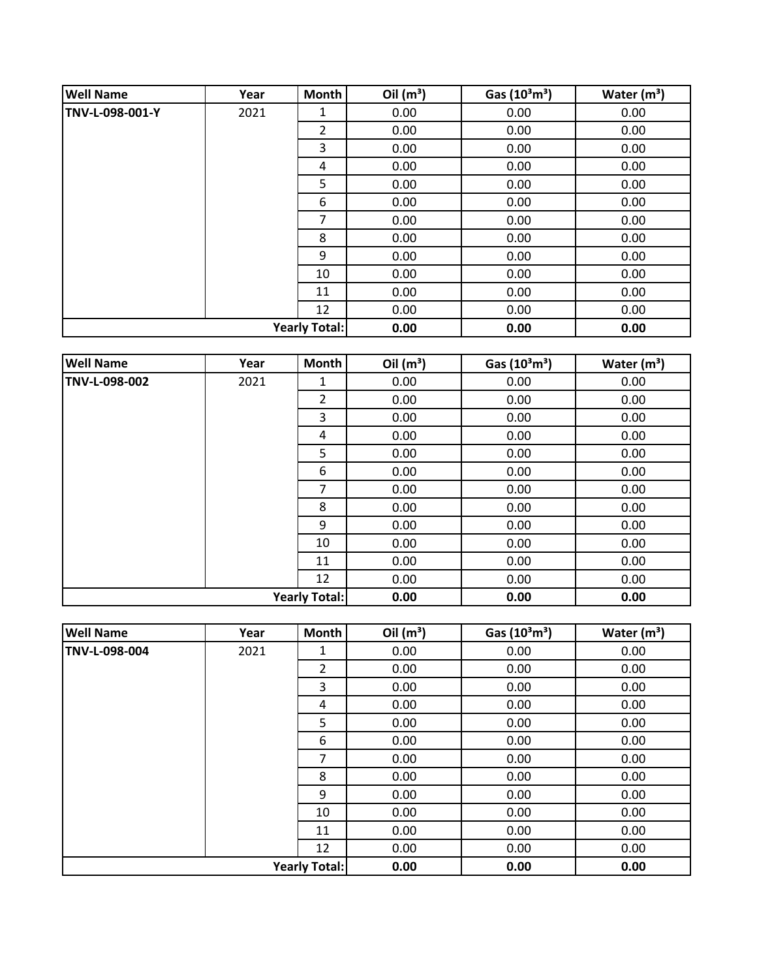| <b>Well Name</b>     | Year | Month          | Oil $(m^3)$ | Gas $(10^3 \text{m}^3)$ | Water $(m3)$ |
|----------------------|------|----------------|-------------|-------------------------|--------------|
| TNV-L-098-001-Y      | 2021 | 1              | 0.00        | 0.00                    | 0.00         |
|                      |      | $\overline{2}$ | 0.00        | 0.00                    | 0.00         |
|                      |      | 3              | 0.00        | 0.00                    | 0.00         |
|                      |      | 4              | 0.00        | 0.00                    | 0.00         |
|                      |      | 5              | 0.00        | 0.00                    | 0.00         |
|                      |      | 6              | 0.00        | 0.00                    | 0.00         |
|                      |      | 7              | 0.00        | 0.00                    | 0.00         |
|                      |      | 8              | 0.00        | 0.00                    | 0.00         |
|                      |      | 9              | 0.00        | 0.00                    | 0.00         |
|                      |      | 10             | 0.00        | 0.00                    | 0.00         |
|                      |      | 11             | 0.00        | 0.00                    | 0.00         |
|                      |      | 12             | 0.00        | 0.00                    | 0.00         |
| <b>Yearly Total:</b> |      | 0.00           | 0.00        | 0.00                    |              |

| <b>Well Name</b>     | Year | <b>Month</b>   | Oil $(m^3)$ | Gas $(10^3 \text{m}^3)$ | Water $(m^3)$ |
|----------------------|------|----------------|-------------|-------------------------|---------------|
| TNV-L-098-002        | 2021 | 1              | 0.00        | 0.00                    | 0.00          |
|                      |      | $\overline{2}$ | 0.00        | 0.00                    | 0.00          |
|                      |      | 3              | 0.00        | 0.00                    | 0.00          |
|                      |      | 4              | 0.00        | 0.00                    | 0.00          |
|                      |      | 5              | 0.00        | 0.00                    | 0.00          |
|                      |      | 6              | 0.00        | 0.00                    | 0.00          |
|                      |      | 7              | 0.00        | 0.00                    | 0.00          |
|                      |      | 8              | 0.00        | 0.00                    | 0.00          |
|                      |      | 9              | 0.00        | 0.00                    | 0.00          |
|                      |      | 10             | 0.00        | 0.00                    | 0.00          |
|                      |      | 11             | 0.00        | 0.00                    | 0.00          |
|                      |      | 12             | 0.00        | 0.00                    | 0.00          |
| <b>Yearly Total:</b> |      | 0.00           | 0.00        | 0.00                    |               |

| <b>Well Name</b>     | Year | Month          | Oil $(m^3)$ | Gas $(10^3 \text{m}^3)$ | Water $(m^3)$ |
|----------------------|------|----------------|-------------|-------------------------|---------------|
| TNV-L-098-004        | 2021 | 1              | 0.00        | 0.00                    | 0.00          |
|                      |      | $\overline{2}$ | 0.00        | 0.00                    | 0.00          |
|                      |      | 3              | 0.00        | 0.00                    | 0.00          |
|                      |      | 4              | 0.00        | 0.00                    | 0.00          |
|                      |      | 5              | 0.00        | 0.00                    | 0.00          |
|                      |      | 6              | 0.00        | 0.00                    | 0.00          |
|                      |      | 7              | 0.00        | 0.00                    | 0.00          |
|                      |      | 8              | 0.00        | 0.00                    | 0.00          |
|                      |      | 9              | 0.00        | 0.00                    | 0.00          |
|                      |      | 10             | 0.00        | 0.00                    | 0.00          |
|                      |      | 11             | 0.00        | 0.00                    | 0.00          |
|                      |      | 12             | 0.00        | 0.00                    | 0.00          |
| <b>Yearly Total:</b> |      |                | 0.00        | 0.00                    | 0.00          |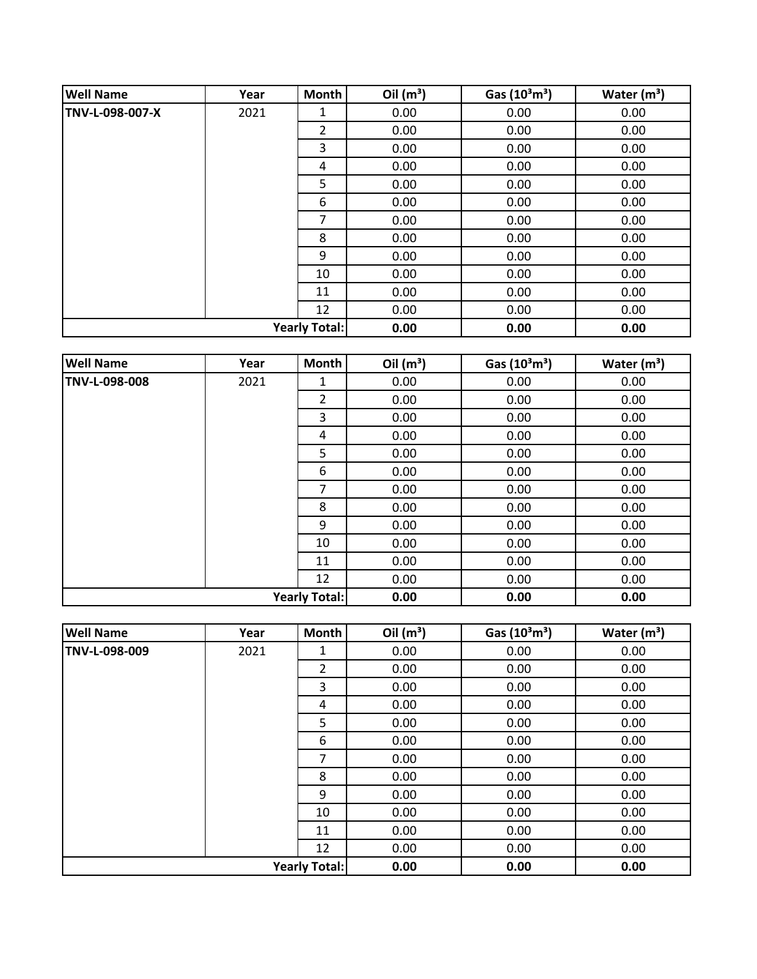| <b>Well Name</b>     | Year | Month | Oil $(m^3)$ | Gas $(10^3 \text{m}^3)$ | Water $(m3)$ |
|----------------------|------|-------|-------------|-------------------------|--------------|
| TNV-L-098-007-X      | 2021 | 1     | 0.00        | 0.00                    | 0.00         |
|                      |      | 2     | 0.00        | 0.00                    | 0.00         |
|                      |      | 3     | 0.00        | 0.00                    | 0.00         |
|                      |      | 4     | 0.00        | 0.00                    | 0.00         |
|                      |      | 5     | 0.00        | 0.00                    | 0.00         |
|                      |      | 6     | 0.00        | 0.00                    | 0.00         |
|                      |      | 7     | 0.00        | 0.00                    | 0.00         |
|                      |      | 8     | 0.00        | 0.00                    | 0.00         |
|                      |      | 9     | 0.00        | 0.00                    | 0.00         |
|                      |      | 10    | 0.00        | 0.00                    | 0.00         |
|                      |      | 11    | 0.00        | 0.00                    | 0.00         |
|                      |      | 12    | 0.00        | 0.00                    | 0.00         |
| <b>Yearly Total:</b> |      | 0.00  | 0.00        | 0.00                    |              |

| <b>Well Name</b> | Year | <b>Month</b>         | Oil $(m^3)$ | Gas $(10^3 \text{m}^3)$ | Water $(m^3)$ |
|------------------|------|----------------------|-------------|-------------------------|---------------|
| TNV-L-098-008    | 2021 | 1                    | 0.00        | 0.00                    | 0.00          |
|                  |      | $\overline{2}$       | 0.00        | 0.00                    | 0.00          |
|                  |      | 3                    | 0.00        | 0.00                    | 0.00          |
|                  |      | 4                    | 0.00        | 0.00                    | 0.00          |
|                  |      | 5                    | 0.00        | 0.00                    | 0.00          |
|                  |      | 6                    | 0.00        | 0.00                    | 0.00          |
|                  |      | 7                    | 0.00        | 0.00                    | 0.00          |
|                  |      | 8                    | 0.00        | 0.00                    | 0.00          |
|                  |      | 9                    | 0.00        | 0.00                    | 0.00          |
|                  |      | 10                   | 0.00        | 0.00                    | 0.00          |
|                  |      | 11                   | 0.00        | 0.00                    | 0.00          |
|                  |      | 12                   | 0.00        | 0.00                    | 0.00          |
|                  |      | <b>Yearly Total:</b> | 0.00        | 0.00                    | 0.00          |

| <b>Well Name</b>     | Year | Month          | Oil $(m^3)$ | Gas $(10^3 \text{m}^3)$ | Water $(m^3)$ |
|----------------------|------|----------------|-------------|-------------------------|---------------|
| TNV-L-098-009        | 2021 | 1              | 0.00        | 0.00                    | 0.00          |
|                      |      | $\overline{2}$ | 0.00        | 0.00                    | 0.00          |
|                      |      | 3              | 0.00        | 0.00                    | 0.00          |
|                      |      | 4              | 0.00        | 0.00                    | 0.00          |
|                      |      | 5              | 0.00        | 0.00                    | 0.00          |
|                      |      | 6              | 0.00        | 0.00                    | 0.00          |
|                      |      | 7              | 0.00        | 0.00                    | 0.00          |
|                      |      | 8              | 0.00        | 0.00                    | 0.00          |
|                      |      | 9              | 0.00        | 0.00                    | 0.00          |
|                      |      | 10             | 0.00        | 0.00                    | 0.00          |
|                      |      | 11             | 0.00        | 0.00                    | 0.00          |
|                      |      | 12             | 0.00        | 0.00                    | 0.00          |
| <b>Yearly Total:</b> |      |                | 0.00        | 0.00                    | 0.00          |